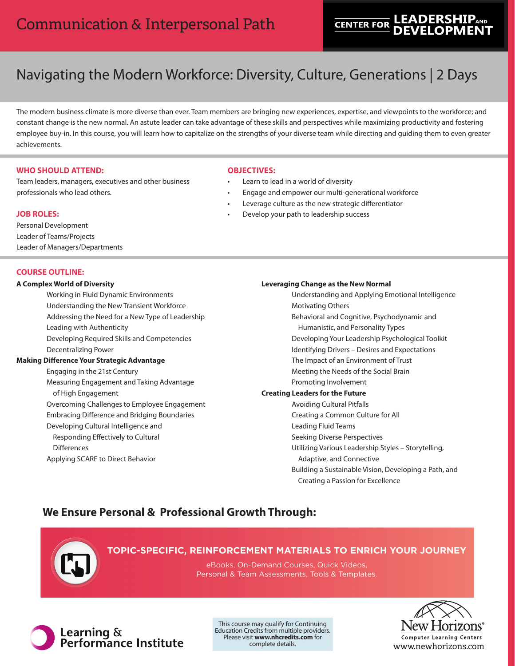# **LEADERSHIPAND CENTER FOR**

# Navigating the Modern Workforce: Diversity, Culture, Generations | 2 Days

The modern business climate is more diverse than ever. Team members are bringing new experiences, expertise, and viewpoints to the workforce; and constant change is the new normal. An astute leader can take advantage of these skills and perspectives while maximizing productivity and fostering employee buy-in. In this course, you will learn how to capitalize on the strengths of your diverse team while directing and guiding them to even greater achievements.

# **WHO SHOULD ATTEND:**

Team leaders, managers, executives and other business professionals who lead others.

# **JOB ROLES:**

Personal Development Leader of Teams/Projects Leader of Managers/Departments

## **COURSE OUTLINE:**

#### **A Complex World of Diversity**

Working in Fluid Dynamic Environments Understanding the New Transient Workforce Addressing the Need for a New Type of Leadership Leading with Authenticity Developing Required Skills and Competencies Decentralizing Power

# **Making Difference Your Strategic Advantage**

Engaging in the 21st Century Measuring Engagement and Taking Advantage of High Engagement Overcoming Challenges to Employee Engagement Embracing Difference and Bridging Boundaries Developing Cultural Intelligence and Responding Effectively to Cultural **Differences** Applying SCARF to Direct Behavior

## **OBJECTIVES:**

- Learn to lead in a world of diversity
- Engage and empower our multi-generational workforce
- Leverage culture as the new strategic differentiator
- Develop your path to leadership success

#### **Leveraging Change as the New Normal**

- Understanding and Applying Emotional Intelligence Motivating Others Behavioral and Cognitive, Psychodynamic and Humanistic, and Personality Types Developing Your Leadership Psychological Toolkit Identifying Drivers – Desires and Expectations The Impact of an Environment of Trust Meeting the Needs of the Social Brain Promoting Involvement **Creating Leaders for the Future** Avoiding Cultural Pitfalls Creating a Common Culture for All Leading Fluid Teams Seeking Diverse Perspectives Utilizing Various Leadership Styles – Storytelling, Adaptive, and Connective
	- Building a Sustainable Vision, Developing a Path, and Creating a Passion for Excellence

# **We Ensure Personal & Professional Growth Through:**



# TOPIC-SPECIFIC, REINFORCEMENT MATERIALS TO ENRICH YOUR JOURNEY

eBooks, On-Demand Courses, Quick Videos, Personal & Team Assessments, Tools & Templates.



Learning &<br>Performance Institute

This course may qualify for Continuing Education Credits from multiple providers. Please visit **www.nhcredits.com** for